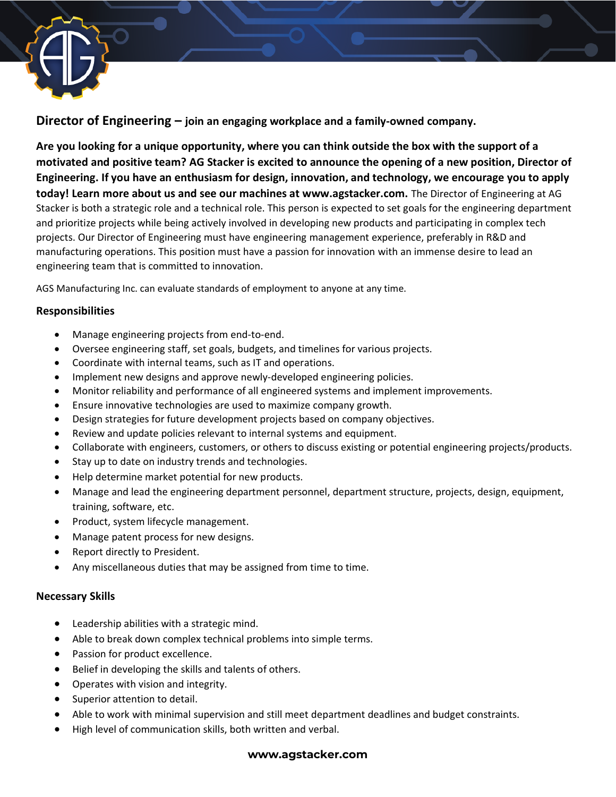

**Director of Engineering – join an engaging workplace and a family-owned company.**

**Are you looking for a unique opportunity, where you can think outside the box with the support of a motivated and positive team? AG Stacker is excited to announce the opening of a new position, Director of Engineering. If you have an enthusiasm for design, innovation, and technology, we encourage you to apply today! Learn more about us and see our machines at www.agstacker.com.** The Director of Engineering at AG Stacker is both a strategic role and a technical role. This person is expected to set goals for the engineering department and prioritize projects while being actively involved in developing new products and participating in complex tech projects. Our Director of Engineering must have engineering management experience, preferably in R&D and manufacturing operations. This position must have a passion for innovation with an immense desire to lead an engineering team that is committed to innovation.

AGS Manufacturing Inc. can evaluate standards of employment to anyone at any time.

### **Responsibilities**

- Manage engineering projects from end-to-end.
- Oversee engineering staff, set goals, budgets, and timelines for various projects.
- Coordinate with internal teams, such as IT and operations.
- Implement new designs and approve newly-developed engineering policies.
- Monitor reliability and performance of all engineered systems and implement improvements.
- Ensure innovative technologies are used to maximize company growth.
- Design strategies for future development projects based on company objectives.
- Review and update policies relevant to internal systems and equipment.
- Collaborate with engineers, customers, or others to discuss existing or potential engineering projects/products.
- Stay up to date on industry trends and technologies.
- Help determine market potential for new products.
- Manage and lead the engineering department personnel, department structure, projects, design, equipment, training, software, etc.
- Product, system lifecycle management.
- Manage patent process for new designs.
- Report directly to President.
- Any miscellaneous duties that may be assigned from time to time.

### **Necessary Skills**

- Leadership abilities with a strategic mind.
- Able to break down complex technical problems into simple terms.
- Passion for product excellence.
- Belief in developing the skills and talents of others.
- Operates with vision and integrity.
- Superior attention to detail.
- Able to work with minimal supervision and still meet department deadlines and budget constraints.
- High level of communication skills, both written and verbal.

#### **www.agstacker.com**